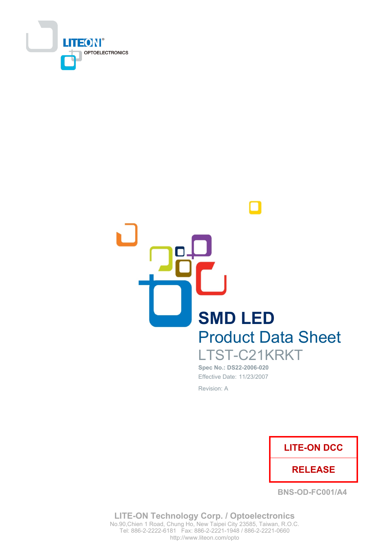



Spec No.: DS22-2006-020 Effective Date: 11/23/2007 Revision: A



**BNS-OD-FC001/A4** 

LITE-ON Technology Corp. / Optoelectronics No.90, Chien 1 Road, Chung Ho, New Taipei City 23585, Taiwan, R.O.C. http://www.liteon.com/opto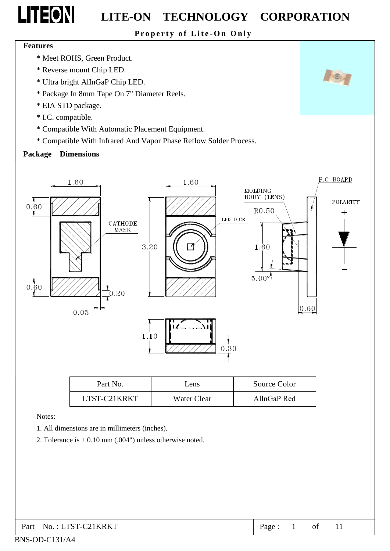Property of Lite-On Only

#### **Features**

- \* Meet ROHS, Green Product.
- \* Reverse mount Chip LED.
- \* Ultra bright AlInGaP Chip LED.
- \* Package In 8mm Tape On 7" Diameter Reels.
- \* EIA STD package.
- \* I.C. compatible.
- \* Compatible With Automatic Placement Equipment.
- \* Compatible With Infrared And Vapor Phase Reflow Solder Process.

#### **Package Dimensions**



| Part No.     | Lens        | Source Color |
|--------------|-------------|--------------|
| LTST-C21KRKT | Water Clear | AllnGaP Red  |

Notes:

- 1. All dimensions are in millimeters (inches).
- 2. Tolerance is  $\pm$  0.10 mm (.004") unless otherwise noted.

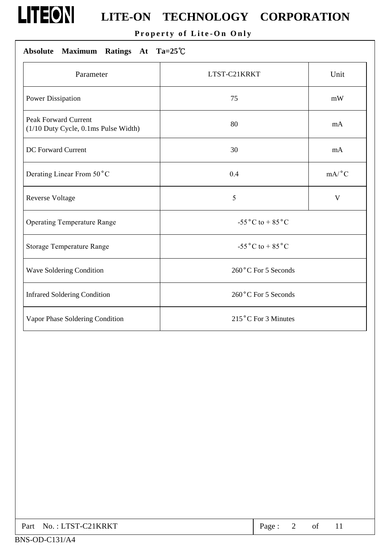# **LITEON** LITE-ON TECHNOLOGY CORPORATION

Property of Lite-On Only

### Absolute Maximum Ratings At Ta=25°C

| Parameter                                                           | LTST-C21KRKT                         | Unit  |  |
|---------------------------------------------------------------------|--------------------------------------|-------|--|
| Power Dissipation                                                   | 75                                   | mW    |  |
| <b>Peak Forward Current</b><br>(1/10 Duty Cycle, 0.1ms Pulse Width) | 80                                   | mA    |  |
| DC Forward Current                                                  | 30                                   | mA    |  |
| Derating Linear From 50°C                                           | 0.4                                  | mA/°C |  |
| <b>Reverse Voltage</b>                                              | 5                                    | V     |  |
| <b>Operating Temperature Range</b>                                  | -55 $^{\circ}$ C to +85 $^{\circ}$ C |       |  |
| <b>Storage Temperature Range</b>                                    | -55 $^{\circ}$ C to +85 $^{\circ}$ C |       |  |
| Wave Soldering Condition                                            | 260°C For 5 Seconds                  |       |  |
| <b>Infrared Soldering Condition</b>                                 | 260°C For 5 Seconds                  |       |  |
| Vapor Phase Soldering Condition                                     | 215°C For 3 Minutes                  |       |  |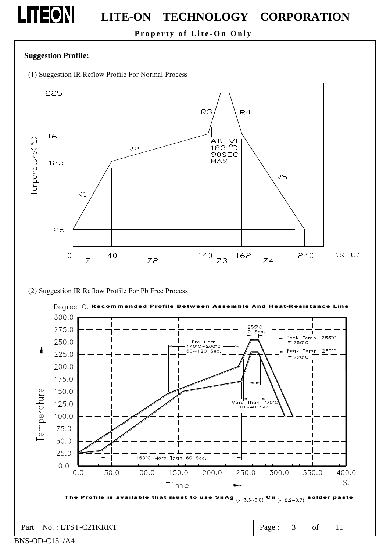### Property of Lite-On Only

#### **Suggestion Profile:**

**LITEON** 

(1) Suggestion IR Reflow Profile For Normal Process



(2) Suggestion IR Reflow Profile For Pb Free Process



BNS-OD-C131/A4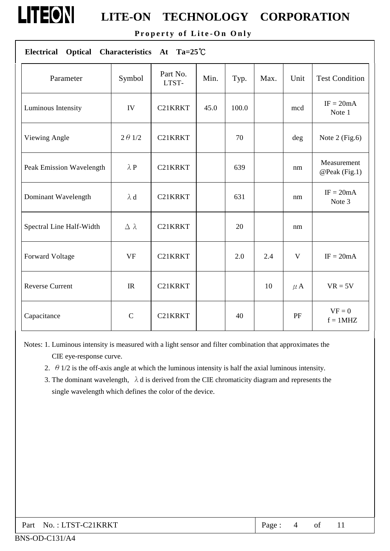Property of Lite-On Only

| Characteristics At Ta=25°C<br><b>Optical</b><br><b>Electrical</b> |                  |                   |      |       |      |         |                              |
|-------------------------------------------------------------------|------------------|-------------------|------|-------|------|---------|------------------------------|
| Parameter                                                         | Symbol           | Part No.<br>LTST- | Min. | Typ.  | Max. | Unit    | <b>Test Condition</b>        |
| Luminous Intensity                                                | IV               | C21KRKT           | 45.0 | 100.0 |      | mcd     | $IF = 20mA$<br>Note 1        |
| Viewing Angle                                                     | $2 \theta 1/2$   | C21KRKT           |      | 70    |      | deg     | Note 2 (Fig.6)               |
| Peak Emission Wavelength                                          | $\lambda$ P      | C21KRKT           |      | 639   |      | nm      | Measurement<br>@Peak (Fig.1) |
| Dominant Wavelength                                               | $\lambda$ d      | C21KRKT           |      | 631   |      | nm      | $IF = 20mA$<br>Note 3        |
| Spectral Line Half-Width                                          | $\Delta \lambda$ | C21KRKT           |      | 20    |      | nm      |                              |
| Forward Voltage                                                   | <b>VF</b>        | C21KRKT           |      | 2.0   | 2.4  | V       | $IF = 20mA$                  |
| <b>Reverse Current</b>                                            | IR               | C21KRKT           |      |       | 10   | $\mu$ A | $VR = 5V$                    |
| Capacitance                                                       | $\mathbf C$      | C21KRKT           |      | 40    |      | PF      | $VF = 0$<br>$f = 1MHz$       |

Notes: 1. Luminous intensity is measured with a light sensor and filter combination that approximates the CIE eye-response curve.

- 2.  $\theta$  1/2 is the off-axis angle at which the luminous intensity is half the axial luminous intensity.
- 3. The dominant wavelength,  $\lambda$  d is derived from the CIE chromaticity diagram and represents the single wavelength which defines the color of the device.

LITEON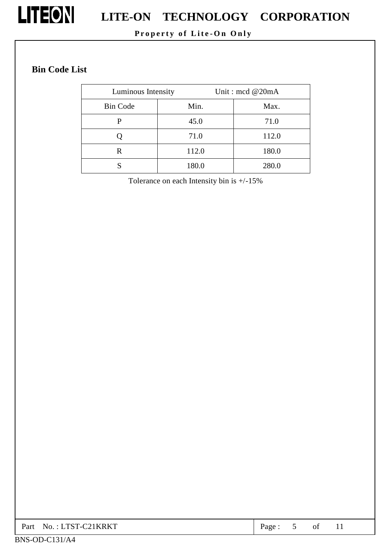

# **LITEON** LITE-ON TECHNOLOGY CORPORATION

### Property of Lite-On Only

### **Bin Code List**

| Luminous Intensity |       | Unit: mcd @20mA |  |  |
|--------------------|-------|-----------------|--|--|
| <b>Bin Code</b>    | Min.  | Max.            |  |  |
| р                  | 45.0  | 71.0            |  |  |
|                    | 71.0  | 112.0           |  |  |
| R                  | 112.0 | 180.0           |  |  |
|                    | 180.0 | 280.0           |  |  |

Tolerance on each Intensity bin is  $+/-15\%$ 

| Part No.: LTST-C21KRKT | Page |  | ΟÌ<br>$\sim$ | . . |  |
|------------------------|------|--|--------------|-----|--|
|------------------------|------|--|--------------|-----|--|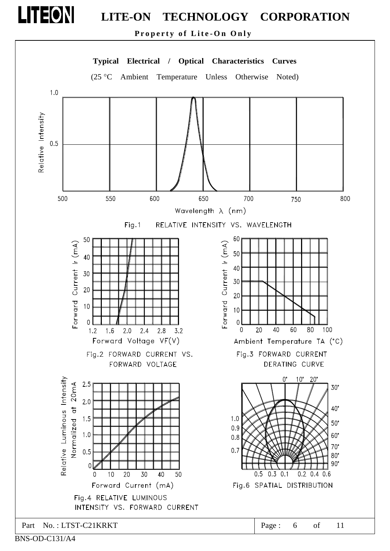Property of Lite-On Only



LITEON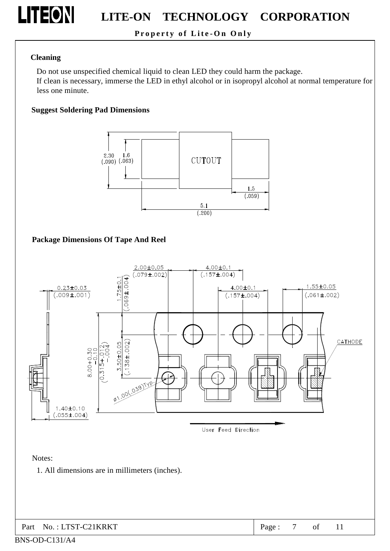

### Property of Lite-On Only

### **Cleaning**

Do not use unspecified chemical liquid to clean LED they could harm the package.

If clean is necessary, immerse the LED in ethyl alcohol or in isopropyl alcohol at normal temperature for less one minute.

### **Suggest Soldering Pad Dimensions**



**Package Dimensions Of Tape And Reel** 



Notes:

1. All dimensions are in millimeters (inches).

11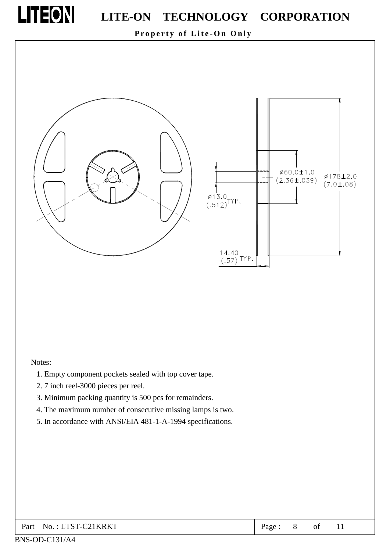

Property of Lite-On Only



#### Notes:

- 1. Empty component pockets sealed with top cover tape.
- 2.7 inch reel-3000 pieces per reel.
- 3. Minimum packing quantity is 500 pcs for remainders.
- 4. The maximum number of consecutive missing lamps is two.
- 5. In accordance with ANSI/EIA 481-1-A-1994 specifications.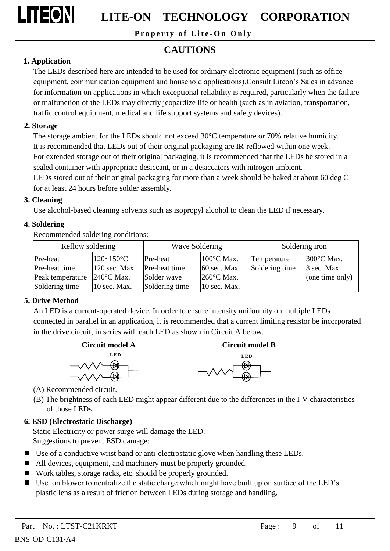LITEON

## LITE-ON TECHNOLOGY CORPORATION

Property of Lite-On Only

### **CAUTIONS**

### 1. Application

The LEDs described here are intended to be used for ordinary electronic equipment (such as office equipment, communication equipment and household applications). Consult Liteon's Sales in advance for information on applications in which exceptional reliability is required, particularly when the failure or malfunction of the LEDs may directly jeopardize life or health (such as in aviation, transportation, traffic control equipment, medical and life support systems and safety devices).

### 2. Storage

The storage ambient for the LEDs should not exceed 30°C temperature or 70% relative humidity. It is recommended that LEDs out of their original packaging are IR-reflowed within one week. For extended storage out of their original packaging, it is recommended that the LEDs be stored in a sealed container with appropriate desiccant, or in a desiccators with nitrogen ambient.

LEDs stored out of their original packaging for more than a week should be baked at about 60 deg C for at least 24 hours before solder assembly.

### 3. Cleaning

Use alcohol-based cleaning solvents such as isopropyl alcohol to clean the LED if necessary.

### 4. Soldering

Recommended soldering conditions:

|                  | Reflow soldering<br>Wave Soldering |                | Soldering iron |                |                   |
|------------------|------------------------------------|----------------|----------------|----------------|-------------------|
| Pre-heat         | $120 - 150$ °C                     | Pre-heat       | 100°C Max.     | Temperature    | 300°C Max.        |
| Pre-heat time    | 120 sec. Max.                      | Pre-heat time  | $60$ sec. Max. | Soldering time | $\beta$ sec. Max. |
| Peak temperature | $240^{\circ}$ C Max.               | Solder wave    | 260°C Max.     |                | (one time only)   |
| Soldering time   | $10$ sec. Max.                     | Soldering time | 10 sec. Max.   |                |                   |

### 5. Drive Method

An LED is a current-operated device. In order to ensure intensity uniformity on multiple LEDs connected in parallel in an application, it is recommended that a current limiting resistor be incorporated in the drive circuit, in series with each LED as shown in Circuit A below.





(A) Recommended circuit.

(B) The brightness of each LED might appear different due to the differences in the I-V characteristics of those LEDs.

### 6. ESD (Electrostatic Discharge)

Static Electricity or power surge will damage the LED. Suggestions to prevent ESD damage:

- Use of a conductive wrist band or anti-electrostatic glove when handling these LEDs.
- All devices, equipment, and machinery must be properly grounded.
- Work tables, storage racks, etc. should be properly grounded.
- Use ion blower to neutralize the static charge which might have built up on surface of the LED's plastic lens as a result of friction between LEDs during storage and handling.

Part No.: LTST-C21KRKT

 $11$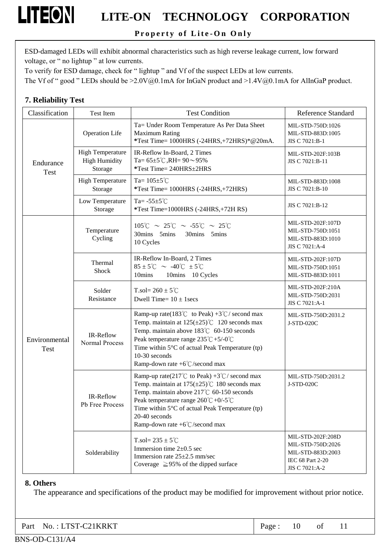### Property of Lite-On Only

ESD-damaged LEDs will exhibit abnormal characteristics such as high reverse leakage current, low forward voltage, or " no lightup " at low currents.

To verify for ESD damage, check for "lightup" and Vf of the suspect LEDs at low currents.

The Vf of " good " LEDs should be >2.0V@0.1mA for InGaN product and >1.4V@0.1mA for AlInGaP product.

#### 7. Reliability Test

**LITEON** 

| Classification           | <b>Test Item</b>                                           | <b>Test Condition</b>                                                                                                                                                                                                                                                                                                                  | <b>Reference Standard</b>                                                                         |
|--------------------------|------------------------------------------------------------|----------------------------------------------------------------------------------------------------------------------------------------------------------------------------------------------------------------------------------------------------------------------------------------------------------------------------------------|---------------------------------------------------------------------------------------------------|
|                          | <b>Operation Life</b>                                      | Ta= Under Room Temperature As Per Data Sheet<br><b>Maximum Rating</b><br>*Test Time= 1000HRS (-24HRS,+72HRS)*@20mA.                                                                                                                                                                                                                    | MIL-STD-750D:1026<br>MIL-STD-883D:1005<br>JIS C 7021:B-1                                          |
| Endurance<br><b>Test</b> | <b>High Temperature</b><br><b>High Humidity</b><br>Storage | IR-Reflow In-Board, 2 Times<br>Ta= $65\pm5^{\circ}$ C, RH= $90\sim95\%$<br>*Test Time= 240HRS±2HRS                                                                                                                                                                                                                                     | MIL-STD-202F:103B<br>JIS C 7021:B-11                                                              |
|                          | <b>High Temperature</b><br>Storage                         | Ta= $105 \pm 5^{\circ}$ C<br>*Test Time= 1000HRS (-24HRS,+72HRS)                                                                                                                                                                                                                                                                       | MIL-STD-883D:1008<br>JIS C 7021:B-10                                                              |
|                          | Low Temperature<br>Storage                                 | Ta= $-55\pm5^{\circ}$ C<br>*Test Time=1000HRS (-24HRS,+72H RS)                                                                                                                                                                                                                                                                         | JIS C 7021:B-12                                                                                   |
|                          | Temperature<br>Cycling                                     | $105^{\circ}\text{C} \sim 25^{\circ}\text{C} \sim -55^{\circ}\text{C} \sim 25^{\circ}\text{C}$<br>30mins 5mins<br>30mins 5mins<br>10 Cycles                                                                                                                                                                                            | MIL-STD-202F:107D<br>MIL-STD-750D:1051<br>MIL-STD-883D:1010<br>JIS C 7021:A-4                     |
|                          | Thermal<br>Shock                                           | IR-Reflow In-Board, 2 Times<br>$85 \pm 5^{\circ}$ C ~ -40 $^{\circ}$ C $\pm 5^{\circ}$ C<br>10mins<br>10mins 10 Cycles                                                                                                                                                                                                                 | MIL-STD-202F:107D<br>MIL-STD-750D:1051<br>MIL-STD-883D:1011                                       |
|                          | Solder<br>Resistance                                       | T.sol= $260 \pm 5^{\circ}$ C<br>Dwell Time= $10 \pm 1$ secs                                                                                                                                                                                                                                                                            | MIL-STD-202F:210A<br>MIL-STD-750D:2031<br>JIS C 7021:A-1                                          |
| Environmental<br>Test    | IR-Reflow<br>Normal Process                                | Ramp-up rate(183°C to Peak) +3°C/ second max<br>Temp. maintain at $125(\pm 25)$ °C 120 seconds max<br>Temp. maintain above 183°C 60-150 seconds<br>Peak temperature range $235^{\circ}\text{C} + 5/-0^{\circ}\text{C}$<br>Time within $5^{\circ}$ C of actual Peak Temperature (tp)<br>10-30 seconds<br>Ramp-down rate +6°C/second max | MIL-STD-750D:2031.2<br>J-STD-020C                                                                 |
|                          | IR-Reflow<br>Pb Free Process                               | Ramp-up rate(217°C to Peak) +3°C/ second max<br>Temp. maintain at $175(\pm 25)$ °C 180 seconds max<br>Temp. maintain above 217°C 60-150 seconds<br>Peak temperature range $260^{\circ}C + 0/-5^{\circ}C$<br>Time within $5^{\circ}$ C of actual Peak Temperature (tp)<br>20-40 seconds<br>Ramp-down rate $+6^{\circ}$ C/second max     | MIL-STD-750D:2031.2<br>J-STD-020C                                                                 |
|                          | Solderability                                              | T.sol= $235 \pm 5^{\circ}$ C<br>Immersion time $2\pm0.5$ sec<br>Immersion rate $25\pm2.5$ mm/sec<br>Coverage $\geq$ 95% of the dipped surface                                                                                                                                                                                          | MIL-STD-202F:208D<br>MIL-STD-750D:2026<br>MIL-STD-883D:2003<br>IEC 68 Part 2-20<br>JIS C 7021:A-2 |

#### 8. Others

The appearance and specifications of the product may be modified for improvement without prior notice.

| Part No.: LTST-C21KRKT | Page: | 10 | 0Ì |  |  |
|------------------------|-------|----|----|--|--|
|------------------------|-------|----|----|--|--|